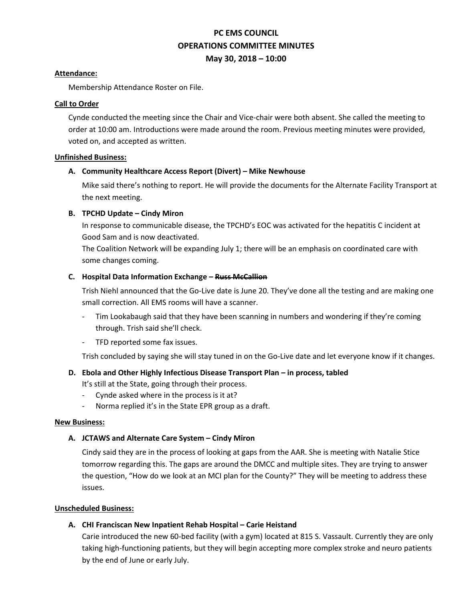# **PC EMS COUNCIL OPERATIONS COMMITTEE MINUTES May 30, 2018 – 10:00**

#### **Attendance:**

Membership Attendance Roster on File.

#### **Call to Order**

Cynde conducted the meeting since the Chair and Vice-chair were both absent. She called the meeting to order at 10:00 am. Introductions were made around the room. Previous meeting minutes were provided, voted on, and accepted as written.

#### **Unfinished Business:**

# **A. Community Healthcare Access Report (Divert) – Mike Newhouse**

Mike said there's nothing to report. He will provide the documents for the Alternate Facility Transport at the next meeting.

# **B. TPCHD Update – Cindy Miron**

In response to communicable disease, the TPCHD's EOC was activated for the hepatitis C incident at Good Sam and is now deactivated.

The Coalition Network will be expanding July 1; there will be an emphasis on coordinated care with some changes coming.

#### **C. Hospital Data Information Exchange – Russ McCallion**

Trish Niehl announced that the Go-Live date is June 20. They've done all the testing and are making one small correction. All EMS rooms will have a scanner.

- Tim Lookabaugh said that they have been scanning in numbers and wondering if they're coming through. Trish said she'll check.
- TFD reported some fax issues.

Trish concluded by saying she will stay tuned in on the Go-Live date and let everyone know if it changes.

# **D.** Ebola and Other Highly Infectious Disease Transport Plan – in process, tabled

It's still at the State, going through their process.

- Cynde asked where in the process is it at?
- Norma replied it's in the State EPR group as a draft.

# **New Business:**

# **A. JCTAWS and Alternate Care System – Cindy Miron**

Cindy said they are in the process of looking at gaps from the AAR. She is meeting with Natalie Stice tomorrow regarding this. The gaps are around the DMCC and multiple sites. They are trying to answer the question, "How do we look at an MCI plan for the County?" They will be meeting to address these issues.

# **Unscheduled Business:**

# **A. CHI Franciscan New Inpatient Rehab Hospital – Carie Heistand**

Carie introduced the new 60-bed facility (with a gym) located at 815 S. Vassault. Currently they are only taking high-functioning patients, but they will begin accepting more complex stroke and neuro patients by the end of June or early July.